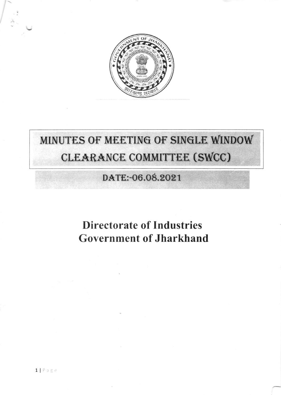

# MINUTES OF MEETING OF SINGLE WINDOW CLEARANCE COMMITTEE (SWCC)

### DATE:-06.08.2021

## **Directorate of Industries Government of Jharkhand**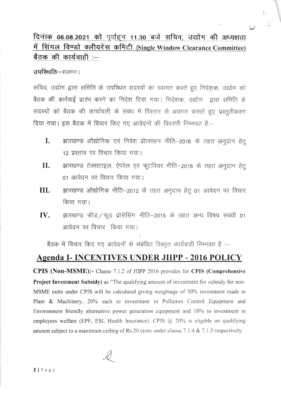#### दिनाक 06.08.2021 को पूर्वाहन 11.30 बजे सचिव, उद्योग की अध्यक्षता में सिंगल विण्डो क्लीयरेंस कमिटी (Single Window Clearance Committee) बैठक की कार्यवाही :--

 $\sim$ 

उपस्थिति-संलग्न।

सचिव, उद्योग द्वारा समिति के उपस्थित सदस्यों का स्वागत करते हुए निदेशक, उद्योग को बैठक की कार्रवाई प्रारंभ करने का निदेश दिया गया। निदेशक, उद्योग द्वारा समिति के सदस्यों को बैठक की कार्यावली के संबंध में विस्तार से अवगत कराते हुए प्रस्तुतीकरण दिया गया। इस बैठक में विचार किए गए आवेदनों की विवरणी निम्नवत है:-

- झारखण्ड औद्योगिक एवं निवेश प्रोत्साहन नीति-2016 के तहत अनुदान हेतु I. 12 प्रस्ताव पर विचार किया गया।
- झारखण्ड टेक्सटाइल, ऐपरेल एवं फूटवियर नीति–2016 के तहत अनुदान हेतू П. 01 आवेदन पर विचार किया गया।
- III. झारखण्ड औद्योगिक नीति–2012 के तहत अनुदान हेतु 01 आवेदन पर विचार किया गया।
- झारखण्ड फीड / फूड प्रोसेसिंग नीति-2015 के तहत अन्य विषय संबंधी 01 IV. आवेदन पर विचार किया गया।

बैठक में विचार किए गए आवेदनों से संबंधित विस्तृत कार्यवाही निम्नवत है :-

#### **Agenda I- INCENTIVES UNDER JIIPP - 2016 POLICY**

**CPIS (Non-MSME):-** Clause 7.1.2 of JIIPP 2016 provides for CPIS (Comprehensive Project Investment Subsidy) as "The qualifying amount of investment for subsidy for non-MSME units under CPIS will be calculated giving weightage of 50% investment made in Plant & Machinery, 20% each to investment in Pollution Control Equipment and Environment friendly alternative power generation equipment and 10% to investment in employees welfare (EPF, ESI, Health Insurance). CPIS  $(a)$  20% is eligible on qualifying amount subject to a maximum ceiling of Rs.20 crore under clause 7.1.4 & 7.1.5 respectively.